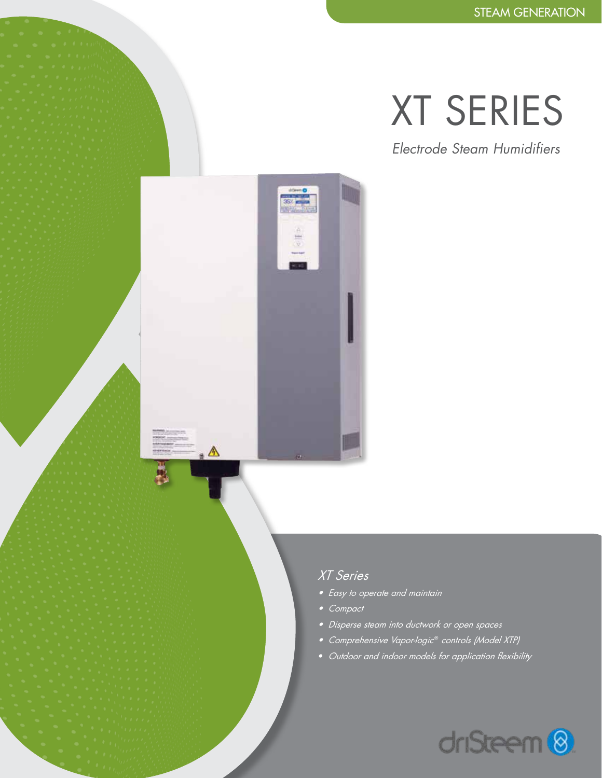# XT SERIES

*Electrode Steam Humidifiers*

## *XT Series*

 $\frac{1}{2}$ 

. A

- *• Easy to operate and maintain*
- *• Compact*
- *Disperse steam into ductwork or open spaces*
- *Comprehensive Vapor-logic*® *controls (Model XTP)*
- *• Outdoor and indoor models for application flexibility*

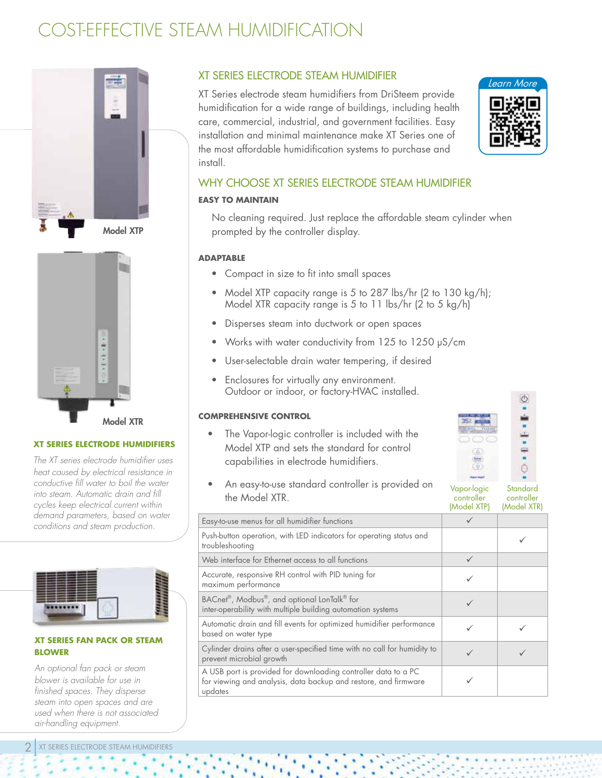# COST-EFFECTIVE STEAM HUMIDIFICATION



Model XTP



#### **XT SERIES ELECTRODE HUMIDIFIERS**

*The XT series electrode humidifier uses heat caused by electrical resistance in conductive fill water to boil the water into steam. Automatic drain and fill cycles keep electrical current within demand parameters, based on water conditions and steam production.* 



#### **XT SERIES FAN PACK OR STEAM BLOWER**

*An optional fan pack or steam blower is available for use in finished spaces. They disperse steam into open spaces and are used when there is not associated air-handling equipment.*

### XT SERIES ELECTRODE STEAM HUMIDIFIER

XT Series electrode steam humidifiers from DriSteem provide humidification for a wide range of buildings, including health care, commercial, industrial, and government facilities. Easy installation and minimal maintenance make XT Series one of the most affordable humidification systems to purchase and install.



## WHY CHOOSE XT SERIES ELECTRODE STEAM HUMIDIFIER

#### **EASY TO MAINTAIN**

No cleaning required. Just replace the affordable steam cylinder when prompted by the controller display.

#### **ADAPTABLE**

- Compact in size to fit into small spaces
- Model XTP capacity range is 5 to 287 lbs/hr (2 to 130 kg/h); Model XTR capacity range is 5 to 11 lbs/hr (2 to 5 kg/h)
- Disperses steam into ductwork or open spaces
- Works with water conductivity from 125 to 1250 μS/cm
- User-selectable drain water tempering, if desired
- Enclosures for virtually any environment. Outdoor or indoor, or factory-HVAC installed.

#### **COMPREHENSIVE CONTROL**

• The Vapor-logic controller is included with the Model XTP and sets the standard for control capabilities in electrode humidifiers.

| Ū |
|---|
|   |
|   |
|   |
|   |

• An easy-to-use standard controller is provided on the Model XTR.

Vapor-logic controller (Model XTP) **Standard** controller (Model XTR)

|                                                                                                                                              | 111111       | <b>INDUCTATIVE</b> |
|----------------------------------------------------------------------------------------------------------------------------------------------|--------------|--------------------|
| Easy-to-use menus for all humidifier functions                                                                                               |              |                    |
| Push-button operation, with LED indicators for operating status and<br>troubleshooting                                                       |              |                    |
| Web interface for Ethernet access to all functions                                                                                           | $\checkmark$ |                    |
| Accurate, responsive RH control with PID tuning for<br>maximum performance                                                                   |              |                    |
| BACnet®, Modbus®, and optional LonTalk® for<br>inter-operability with multiple building automation systems                                   |              |                    |
| Automatic drain and fill events for optimized humidifier performance<br>based on water type                                                  |              |                    |
| Cylinder drains after a user-specified time with no call for humidity to<br>prevent microbial growth                                         |              |                    |
| A USB port is provided for downloading controller data to a PC<br>for viewing and analysis, data backup and restore, and firmware<br>updates |              |                    |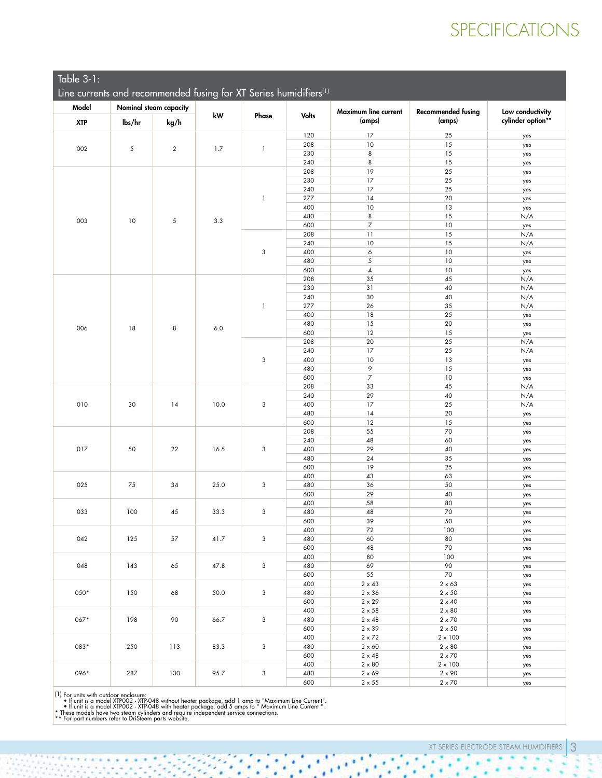# SPECIFICATIONS

| Table 3-1: |  |  |  |
|------------|--|--|--|
|            |  |  |  |
|            |  |  |  |
|            |  |  |  |

| $IQDIE$ $J^T$ :                                                               |                |                        |              |              |              |                      |                           |                   |     |
|-------------------------------------------------------------------------------|----------------|------------------------|--------------|--------------|--------------|----------------------|---------------------------|-------------------|-----|
| Line currents and recommended fusing for XT Series humidifiers <sup>(1)</sup> |                |                        |              |              |              |                      |                           |                   |     |
|                                                                               |                |                        |              |              |              |                      |                           |                   |     |
| Model                                                                         |                | Nominal steam capacity | ${\bf kW}$   | Phase        | <b>Volts</b> | Maximum line current | <b>Recommended fusing</b> | Low conductivity  |     |
| <b>XTP</b>                                                                    | lbs/hr         | kg/h                   |              |              |              | (amps)               | (amps)                    | cylinder option** |     |
|                                                                               |                |                        |              |              | 120          | 17                   | 25                        |                   |     |
| 002<br>5                                                                      |                |                        |              |              | 208          | 10                   | 15                        | yes               |     |
|                                                                               | $\overline{2}$ | 1.7                    | $\mathbf{1}$ | 230          | 8            | 15                   | yes<br>yes                |                   |     |
|                                                                               |                |                        |              | 240          | 8            | 15                   | yes                       |                   |     |
|                                                                               |                |                        |              |              | 208          | 19                   | 25                        | yes               |     |
|                                                                               |                |                        |              | 230          | 17           | 25                   | yes                       |                   |     |
|                                                                               |                |                        |              | -1           | 240          | 17                   | 25                        | yes               |     |
|                                                                               |                |                        |              |              | 277          | 14                   | 20                        | yes               |     |
|                                                                               |                |                        |              |              | 400          | 10                   | 13                        | yes               |     |
|                                                                               | 10             |                        |              |              | 480          | 8                    | 15                        | N/A               |     |
| 003                                                                           |                | 5                      | 3.3          |              | 600          | $\overline{7}$       | 10                        | yes               |     |
|                                                                               |                |                        |              | 3            | 208          | 11                   | 15                        | N/A               |     |
|                                                                               |                |                        |              |              | 240          | 10                   | 15                        | N/A               |     |
|                                                                               |                |                        |              |              | 400          | 6                    | 10                        | yes               |     |
|                                                                               |                |                        |              |              | 480          | 5                    | 10                        | yes               |     |
|                                                                               |                |                        |              |              | 600          | $\overline{4}$       | 10                        | yes               |     |
|                                                                               |                |                        |              |              | 208          | 35                   | 45                        | N/A               |     |
|                                                                               |                |                        |              |              | 230          | 31                   | 40                        | N/A               |     |
|                                                                               |                |                        |              |              | 240          | 30                   | 40                        | N/A               |     |
|                                                                               |                |                        |              | 1            | 277          | 26                   | 35                        | N/A               |     |
|                                                                               |                |                        |              |              | 400          | 18                   | 25                        | yes               |     |
| 006                                                                           | 18             | 8                      | 6.0          |              | 480          | 15                   | 20                        | yes               |     |
|                                                                               |                |                        |              |              | 600          | 12                   | 15                        | yes               |     |
|                                                                               |                |                        |              |              | 208<br>240   | 20<br>17             | 25<br>25                  | N/A               |     |
|                                                                               |                |                        |              | 3            | 400          | 10                   | 13                        | N/A               |     |
|                                                                               |                |                        |              |              | 480          | 9                    | 15                        | yes               |     |
|                                                                               |                |                        |              |              | 600          | $\boldsymbol{7}$     | 10                        | yes<br>yes        |     |
|                                                                               |                |                        |              |              | 208          | 33                   | $45\,$                    | N/A               |     |
|                                                                               |                |                        |              |              | 240          | 29                   | 40                        | N/A               |     |
| 010                                                                           | 30             | 14                     | 10.0         | 3            | 400          | 17                   | 25                        | N/A               |     |
|                                                                               |                |                        |              |              | 480          | 14                   | 20                        | yes               |     |
|                                                                               |                |                        |              |              | 600          | 12                   | 15                        | yes               |     |
|                                                                               |                |                        |              | 208          | 55           | 70                   | yes                       |                   |     |
|                                                                               |                |                        |              |              | 240          | 48                   | 60                        | yes               |     |
| 017                                                                           | 50             | 22                     | 16.5         | 3            | 400          | 29                   | 40                        | yes               |     |
|                                                                               |                |                        |              |              | 480          | 24                   | 35                        | yes               |     |
|                                                                               |                |                        |              |              | 600          | 19                   | 25                        | yes               |     |
|                                                                               |                | 34                     | 25.0         | 3            | 400          | 43                   | 63                        | yes               |     |
| 025                                                                           | 75             |                        |              |              | 480          | 36                   | 50                        | yes               |     |
|                                                                               |                |                        |              |              | 600          | 29                   | 40                        | yes               |     |
| 033<br>100                                                                    |                |                        |              |              | 400          | 58                   | 80                        | yes               |     |
|                                                                               |                | 45                     | 33.3         | 3            | 480          | 48                   | 70                        | yes               |     |
|                                                                               |                |                        |              | 600<br>400   | 39           | 50<br>100            | yes                       |                   |     |
| 042<br>125                                                                    | 57             | 41.7                   | $\mathbf{3}$ | 480          | 72<br>60     | 80                   | yes                       |                   |     |
|                                                                               |                |                        |              | 600          | 48           | 70                   | yes<br>yes                |                   |     |
|                                                                               |                |                        |              |              | 400          | 80                   | 100                       | yes               |     |
| 048<br>143                                                                    | 65             | 47.8                   | 3            | 480          | 69           | 90                   | yes                       |                   |     |
|                                                                               |                |                        |              |              | 600          | 55                   | 70                        | yes               |     |
| 050*                                                                          |                | 150<br>68              | 50.0         | 3            | 400          | $2\times43$          | $2 \times 63$             | yes               |     |
|                                                                               |                |                        |              |              | 480          | $2\times36$          | $2 \times 50$             | yes               |     |
|                                                                               |                |                        |              |              | 600          | $2\times29$          | $2\times40$               | yes               |     |
| 067*                                                                          |                |                        |              |              | 400          | $2\times58$          | $2\times80$               | yes               |     |
|                                                                               | 198            | 90                     | 66.7         | 3            | 480          | $2\times 48$         | $2\times70$               | yes               |     |
|                                                                               |                |                        |              |              | 600          | $2\times39$          | $2\times50$               | yes               |     |
|                                                                               |                | 113                    | 83.3         | 3            | 400          | $2\times72$          | $2 \times 100$            | yes               |     |
| 083*                                                                          | 250            |                        |              |              | 480          | $2\times60$          | $2\times80$               | yes               |     |
|                                                                               |                |                        |              |              | 600          | $2\times 48$         | $2\times70$               | yes               |     |
|                                                                               |                |                        |              |              | 400          | $2 \times 80$        | $2 \times 100$            | yes               |     |
| 096*                                                                          | 287            | 130                    | 95.7         | $\mathbf{3}$ | 480          | $2 \times 69$        | $2\times90$               | yes               |     |
|                                                                               |                |                        |              |              |              | 600                  | $2 \times 55$             | $2 \times 70$     | yes |

ΩQ.

¥ 

¥

ł,

×

 $\overline{\mathcal{C}}$ 

¥

é

ŗ

(1) For units with outdoor enclosure:<br>• If unit is a model XTP002 - XTP-048 without heater package, add 1 amp to "Maximum Line Current".<br>• If unit is a model XTP002 - XTP-048 with heater package, add 5 amps to "Maximum Lin

- 3

G

¥

÷

×

ï and and